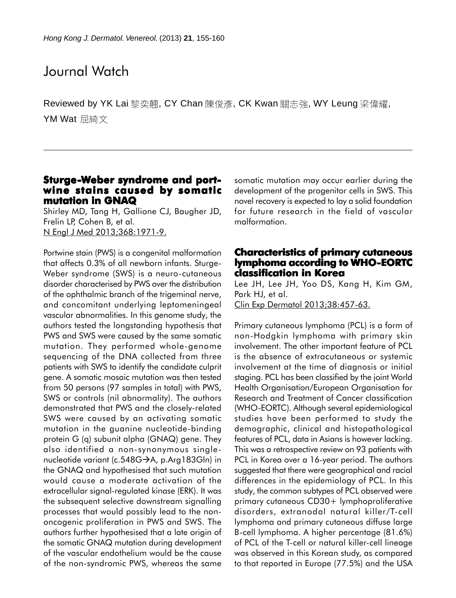# Journal Watch

Reviewed by YK Lai 黎奕翹, CY Chan 陳俊彥, CK Kwan 關志強, WY Leung 梁偉耀, YM Wat 屈綺文

# **Sturge-Weber syndrome and portwine stains caused by somatic mutation in GNAQ**

Shirley MD, Tang H, Gallione CJ, Baugher JD, Frelin LP, Cohen B, et al. N Engl J Med 2013;368:1971-9.

Portwine stain (PWS) is a congenital malformation that affects 0.3% of all newborn infants. Sturge-Weber syndrome (SWS) is a neuro-cutaneous disorder characterised by PWS over the distribution of the ophthalmic branch of the trigeminal nerve, and concomitant underlying leptomeningeal vascular abnormalities. In this genome study, the authors tested the longstanding hypothesis that PWS and SWS were caused by the same somatic mutation. They performed whole-genome sequencing of the DNA collected from three patients with SWS to identify the candidate culprit gene. A somatic mosaic mutation was then tested from 50 persons (97 samples in total) with PWS, SWS or controls (nil abnormality). The authors demonstrated that PWS and the closely-related SWS were caused by an activating somatic mutation in the guanine nucleotide-binding protein G (q) subunit alpha (GNAQ) gene. They also identified a non-synonymous singlenucleotide variant (c.548G→A, p.Arg183Gln) in the GNAQ and hypothesised that such mutation would cause a moderate activation of the extracellular signal-regulated kinase (ERK). It was the subsequent selective downstream signalling processes that would possibly lead to the nononcogenic proliferation in PWS and SWS. The authors further hypothesised that a late origin of the somatic GNAQ mutation during development of the vascular endothelium would be the cause of the non-syndromic PWS, whereas the same

somatic mutation may occur earlier during the development of the progenitor cells in SWS. This novel recovery is expected to lay a solid foundation for future research in the field of vascular malformation.

#### **Characteristics of primary cutaneous lymphoma according to WHO-EORTC classification in Korea**

Lee JH, Lee JH, Yoo DS, Kang H, Kim GM, Park HJ, et al. Clin Exp Dermatol 2013;38:457-63.

Primary cutaneous lymphoma (PCL) is a form of non-Hodgkin lymphoma with primary skin involvement. The other important feature of PCL is the absence of extracutaneous or systemic involvement at the time of diagnosis or initial staging. PCL has been classified by the joint World Health Organisation/European Organisation for Research and Treatment of Cancer classification (WHO-EORTC). Although several epidemiological studies have been performed to study the demographic, clinical and histopathological features of PCL, data in Asians is however lacking. This was a retrospective review on 93 patients with PCL in Korea over a 16-year period. The authors suggested that there were geographical and racial differences in the epidemiology of PCL. In this study, the common subtypes of PCL observed were primary cutaneous CD30+ lymphoproliferative disorders, extranodal natural killer/T-cell lymphoma and primary cutaneous diffuse large B-cell lymphoma. A higher percentage (81.6%) of PCL of the T-cell or natural killer-cell lineage was observed in this Korean study, as compared to that reported in Europe (77.5%) and the USA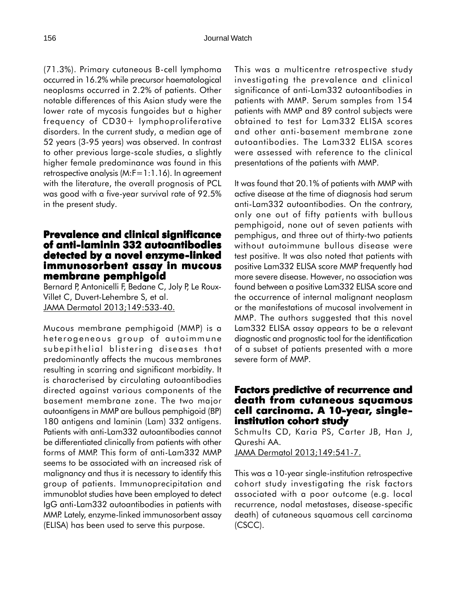(71.3%). Primary cutaneous B-cell lymphoma occurred in 16.2% while precursor haematological neoplasms occurred in 2.2% of patients. Other notable differences of this Asian study were the lower rate of mycosis fungoides but a higher frequency of CD30+ lymphoproliferative disorders. In the current study, a median age of 52 years (3-95 years) was observed. In contrast to other previous large-scale studies, a slightly higher female predominance was found in this retrospective analysis (M:F=1:1.16). In agreement with the literature, the overall prognosis of PCL was good with a five-year survival rate of 92.5% in the present study.

## **Prevalence and clinical significance of anti-laminin 332 autoantibodies detected by a novel enzyme-linked immunosorbent assay in mucous membrane pemphigoid**

Bernard P, Antonicelli F, Bedane C, Joly P, Le Roux-Villet C, Duvert-Lehembre S, et al. JAMA Dermatol 2013;149:533-40.

Mucous membrane pemphigoid (MMP) is a heterogeneous group of autoimmune subepithelial blistering diseases that predominantly affects the mucous membranes resulting in scarring and significant morbidity. It is characterised by circulating autoantibodies directed against various components of the basement membrane zone. The two major autoantigens in MMP are bullous pemphigoid (BP) 180 antigens and laminin (Lam) 332 antigens. Patients with anti-Lam332 autoantibodies cannot be differentiated clinically from patients with other forms of MMP. This form of anti-Lam332 MMP seems to be associated with an increased risk of malignancy and thus it is necessary to identify this group of patients. Immunoprecipitation and immunoblot studies have been employed to detect IgG anti-Lam332 autoantibodies in patients with MMP. Lately, enzyme-linked immunosorbent assay (ELISA) has been used to serve this purpose.

This was a multicentre retrospective study investigating the prevalence and clinical significance of anti-Lam332 autoantibodies in patients with MMP. Serum samples from 154 patients with MMP and 89 control subjects were obtained to test for Lam332 ELISA scores and other anti-basement membrane zone autoantibodies. The Lam332 ELISA scores were assessed with reference to the clinical presentations of the patients with MMP.

It was found that 20.1% of patients with MMP with active disease at the time of diagnosis had serum anti-Lam332 autoantibodies. On the contrary, only one out of fifty patients with bullous pemphigoid, none out of seven patients with pemphigus, and three out of thirty-two patients without autoimmune bullous disease were test positive. It was also noted that patients with positive Lam332 ELISA score MMP frequently had more severe disease. However, no association was found between a positive Lam332 ELISA score and the occurrence of internal malignant neoplasm or the manifestations of mucosal involvement in MMP. The authors suggested that this novel Lam332 ELISA assay appears to be a relevant diagnostic and prognostic tool for the identification of a subset of patients presented with a more severe form of MMP.

#### **Factors predictive of recurrence and death from cutaneous squamous cell carcinoma. A 10-year, singleinstitution cohort study**

Schmults CD, Karia PS, Carter JB, Han J, Qureshi AA.

JAMA Dermatol 2013;149:541-7.

This was a 10-year single-institution retrospective cohort study investigating the risk factors associated with a poor outcome (e.g. local recurrence, nodal metastases, disease-specific death) of cutaneous squamous cell carcinoma (CSCC).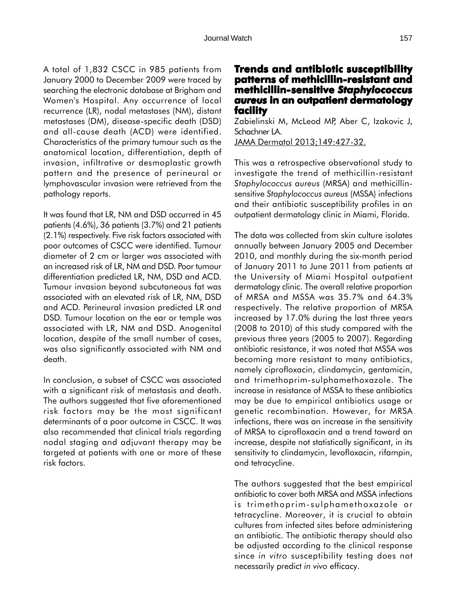A total of 1,832 CSCC in 985 patients from January 2000 to December 2009 were traced by searching the electronic database at Brigham and Women's Hospital. Any occurrence of local recurrence (LR), nodal metastases (NM), distant metastases (DM), disease-specific death (DSD) and all-cause death (ACD) were identified. Characteristics of the primary tumour such as the anatomical location, differentiation, depth of invasion, infiltrative or desmoplastic growth pattern and the presence of perineural or lymphovascular invasion were retrieved from the pathology reports.

It was found that LR, NM and DSD occurred in 45 patients (4.6%), 36 patients (3.7%) and 21 patients (2.1%) respectively. Five risk factors associated with poor outcomes of CSCC were identified. Tumour diameter of 2 cm or larger was associated with an increased risk of LR, NM and DSD. Poor tumour differentiation predicted LR, NM, DSD and ACD. Tumour invasion beyond subcutaneous fat was associated with an elevated risk of LR, NM, DSD and ACD. Perineural invasion predicted LR and DSD. Tumour location on the ear or temple was associated with LR, NM and DSD. Anogenital location, despite of the small number of cases, was also significantly associated with NM and death.

In conclusion, a subset of CSCC was associated with a significant risk of metastasis and death. The authors suggested that five aforementioned risk factors may be the most significant determinants of a poor outcome in CSCC. It was also recommended that clinical trials regarding nodal staging and adjuvant therapy may be targeted at patients with one or more of these risk factors.

# **Trends and antibiotic susceptibility patterns of methicillin-resistant and methicillin-sensitive sensitive** *Staphylococcus aureus* **in an outpatient dermatology facility**

Zabielinski M, McLeod MP, Aber C, Izakovic J, Schachner LA.

JAMA Dermatol 2013;149:427-32.

This was a retrospective observational study to investigate the trend of methicillin-resistant *Staphylococcus aureus* (MRSA) and methicillinsensitive *Staphylococcus aureus* (MSSA) infections and their antibiotic susceptibility profiles in an outpatient dermatology clinic in Miami, Florida.

The data was collected from skin culture isolates annually between January 2005 and December 2010, and monthly during the six-month period of January 2011 to June 2011 from patients at the University of Miami Hospital outpatient dermatology clinic. The overall relative proportion of MRSA and MSSA was 35.7% and 64.3% respectively. The relative proportion of MRSA increased by 17.0% during the last three years (2008 to 2010) of this study compared with the previous three years (2005 to 2007). Regarding antibiotic resistance, it was noted that MSSA was becoming more resistant to many antibiotics, namely ciprofloxacin, clindamycin, gentamicin, and trimethoprim-sulphamethoxazole. The increase in resistance of MSSA to these antibiotics may be due to empirical antibiotics usage or genetic recombination. However, for MRSA infections, there was an increase in the sensitivity of MRSA to ciprofloxacin and a trend toward an increase, despite not statistically significant, in its sensitivity to clindamycin, levofloxacin, rifampin, and tetracycline.

The authors suggested that the best empirical antibiotic to cover both MRSA and MSSA infections is trimethoprim-sulphamethoxazole or tetracycline. Moreover, it is crucial to obtain cultures from infected sites before administering an antibiotic. The antibiotic therapy should also be adjusted according to the clinical response since *in vitro* susceptibility testing does not necessarily predict *in vivo* efficacy.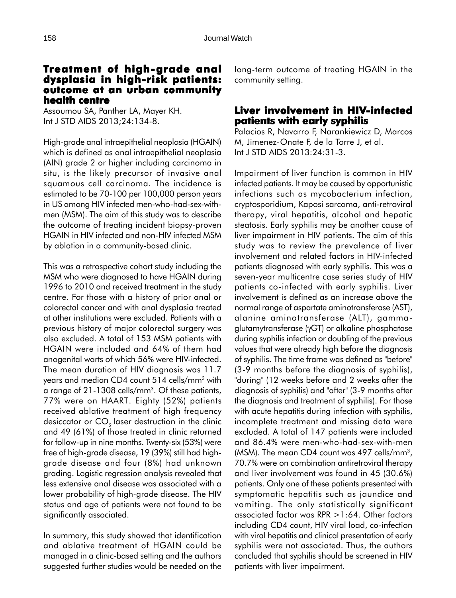#### **Treatment of high-grade anal grade dysplasia in high-risk patients: dysplasia patients: outcome at an urban community health centre**

Assoumou SA, Panther LA, Mayer KH. Int J STD AIDS 2013;24:134-8.

High-grade anal intraepithelial neoplasia (HGAIN) which is defined as anal intraepithelial neoplasia (AIN) grade 2 or higher including carcinoma in situ, is the likely precursor of invasive anal squamous cell carcinoma. The incidence is estimated to be 70-100 per 100,000 person years in US among HIV infected men-who-had-sex-withmen (MSM). The aim of this study was to describe the outcome of treating incident biopsy-proven HGAIN in HIV infected and non-HIV infected MSM by ablation in a community-based clinic.

This was a retrospective cohort study including the MSM who were diagnosed to have HGAIN during 1996 to 2010 and received treatment in the study centre. For those with a history of prior anal or colorectal cancer and with anal dysplasia treated at other institutions were excluded. Patients with a previous history of major colorectal surgery was also excluded. A total of 153 MSM patients with HGAIN were included and 64% of them had anogenital warts of which 56% were HIV-infected. The mean duration of HIV diagnosis was 11.7 years and median CD4 count 514 cells/mm3 with a range of 21-1308 cells/mm<sup>3</sup>. Of these patients, 77% were on HAART. Eighty (52%) patients received ablative treatment of high frequency desiccator or  $CO<sub>2</sub>$  laser destruction in the clinic and 49 (61%) of those treated in clinic returned for follow-up in nine months. Twenty-six (53%) were free of high-grade disease, 19 (39%) still had highgrade disease and four (8%) had unknown grading. Logistic regression analysis revealed that less extensive anal disease was associated with a lower probability of high-grade disease. The HIV status and age of patients were not found to be significantly associated.

In summary, this study showed that identification and ablative treatment of HGAIN could be managed in a clinic-based setting and the authors suggested further studies would be needed on the long-term outcome of treating HGAIN in the community setting.

# **Liver involvement in HIV-infected patients with early syphilis**

Palacios R, Navarro F, Narankiewicz D, Marcos M, Jimenez-Onate F, de la Torre J, et al. Int J STD AIDS 2013:24:31-3.

Impairment of liver function is common in HIV infected patients. It may be caused by opportunistic infections such as mycobacterium infection, cryptosporidium, Kaposi sarcoma, anti-retroviral therapy, viral hepatitis, alcohol and hepatic steatosis. Early syphilis may be another cause of liver impairment in HIV patients. The aim of this study was to review the prevalence of liver involvement and related factors in HIV-infected patients diagnosed with early syphilis. This was a seven-year multicentre case series study of HIV patients co-infected with early syphilis. Liver involvement is defined as an increase above the normal range of aspartate aminotransferase (AST), alanine aminotransferase (ALT), gammaglutamytransferase (γGT) or alkaline phosphatase during syphilis infection or doubling of the previous values that were already high before the diagnosis of syphilis. The time frame was defined as "before" (3-9 months before the diagnosis of syphilis), "during" (12 weeks before and 2 weeks after the diagnosis of syphilis) and "after" (3-9 months after the diagnosis and treatment of syphilis). For those with acute hepatitis during infection with syphilis, incomplete treatment and missing data were excluded. A total of 147 patients were included and 86.4% were men-who-had-sex-with-men (MSM). The mean CD4 count was 497 cells/mm<sup>3</sup>, 70.7% were on combination antiretroviral therapy and liver involvement was found in 45 (30.6%) patients. Only one of these patients presented with symptomatic hepatitis such as jaundice and vomiting. The only statistically significant associated factor was RPR >1:64. Other factors including CD4 count, HIV viral load, co-infection with viral hepatitis and clinical presentation of early syphilis were not associated. Thus, the authors concluded that syphilis should be screened in HIV patients with liver impairment.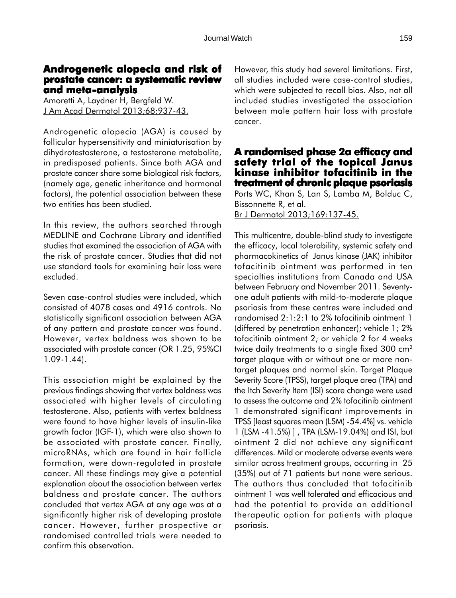# **Androgenetic alopecia and risk of Androgenetic risk prostate cancer: a systematic review and meta-analysis**

Amoretti A, Laydner H, Bergfeld W. J Am Acad Dermatol 2013;68:937-43.

Androgenetic alopecia (AGA) is caused by follicular hypersensitivity and miniaturisation by dihydrotestosterone, a testosterone metabolite, in predisposed patients. Since both AGA and prostate cancer share some biological risk factors, (namely age, genetic inheritance and hormonal factors), the potential association between these two entities has been studied.

In this review, the authors searched through MEDLINE and Cochrane Library and identified studies that examined the association of AGA with the risk of prostate cancer. Studies that did not use standard tools for examining hair loss were excluded.

Seven case-control studies were included, which consisted of 4078 cases and 4916 controls. No statistically significant association between AGA of any pattern and prostate cancer was found. However, vertex baldness was shown to be associated with prostate cancer (OR 1.25, 95%CI 1.09-1.44).

This association might be explained by the previous findings showing that vertex baldness was associated with higher levels of circulating testosterone. Also, patients with vertex baldness were found to have higher levels of insulin-like growth factor (IGF-1), which were also shown to be associated with prostate cancer. Finally, microRNAs, which are found in hair follicle formation, were down-regulated in prostate cancer. All these findings may give a potential explanation about the association between vertex baldness and prostate cancer. The authors concluded that vertex AGA at any age was at a significantly higher risk of developing prostate cancer. However, further prospective or randomised controlled trials were needed to confirm this observation.

However, this study had several limitations. First, all studies included were case-control studies, which were subjected to recall bias. Also, not all included studies investigated the association between male pattern hair loss with prostate cancer.

# **A randomised phase 2a efficacy and safety trial of the topical Janus kinase inhibitor tofacitinib in the treatment of chronic plaque psoriasis**

Ports WC, Khan S, Lan S, Lamba M, Bolduc C, Bissonnette R, et al. Br J Dermatol 2013;169:137-45.

This multicentre, double-blind study to investigate the efficacy, local tolerability, systemic safety and pharmacokinetics of Janus kinase (JAK) inhibitor tofacitinib ointment was performed in ten specialties institutions from Canada and USA between February and November 2011. Seventyone adult patients with mild-to-moderate plaque psoriasis from these centres were included and randomised 2:1:2:1 to 2% tofacitinib ointment 1 (differed by penetration enhancer); vehicle 1; 2% tofacitinib ointment 2; or vehicle 2 for 4 weeks twice daily treatments to a single fixed 300 cm2 target plaque with or without one or more nontarget plaques and normal skin. Target Plaque Severity Score (TPSS), target plaque area (TPA) and the Itch Severity Item (ISI) score change were used to assess the outcome and 2% tofacitinib ointment 1 demonstrated significant improvements in TPSS [least squares mean (LSM) -54.4%] vs. vehicle 1 (LSM -41.5%) ] , TPA (LSM-19.04%) and ISI, but ointment 2 did not achieve any significant differences. Mild or moderate adverse events were similar across treatment groups, occurring in 25 (35%) out of 71 patients but none were serious. The authors thus concluded that tofacitinib ointment 1 was well tolerated and efficacious and had the potential to provide an additional therapeutic option for patients with plaque psoriasis.